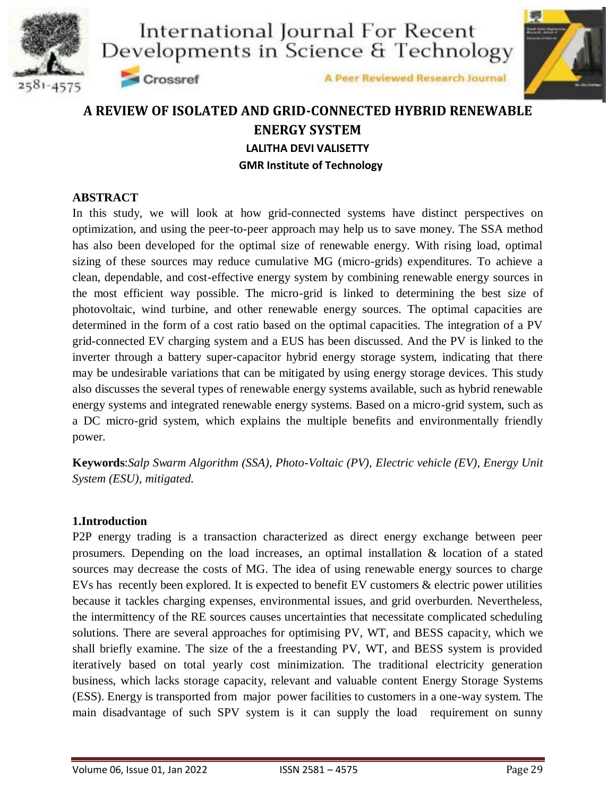







## **A REVIEW OF ISOLATED AND GRID-CONNECTED HYBRID RENEWABLE ENERGY SYSTEM LALITHA DEVI VALISETTY GMR Institute of Technology**

#### **ABSTRACT**

In this study, we will look at how grid-connected systems have distinct perspectives on optimization, and using the peer-to-peer approach may help us to save money. The SSA method has also been developed for the optimal size of renewable energy. With rising load, optimal sizing of these sources may reduce cumulative MG (micro-grids) expenditures. To achieve a clean, dependable, and cost-effective energy system by combining renewable energy sources in the most efficient way possible. The micro-grid is linked to determining the best size of photovoltaic, wind turbine, and other renewable energy sources. The optimal capacities are determined in the form of a cost ratio based on the optimal capacities. The integration of a PV grid-connected EV charging system and a EUS has been discussed. And the PV is linked to the inverter through a battery super-capacitor hybrid energy storage system, indicating that there may be undesirable variations that can be mitigated by using energy storage devices. This study also discusses the several types of renewable energy systems available, such as hybrid renewable energy systems and integrated renewable energy systems. Based on a micro-grid system, such as a DC micro-grid system, which explains the multiple benefits and environmentally friendly power.

**Keywords**:*Salp Swarm Algorithm (SSA), Photo-Voltaic (PV), Electric vehicle (EV), Energy Unit System (ESU), mitigated.*

#### **1.Introduction**

P2P energy trading is a transaction characterized as direct energy exchange between peer prosumers. Depending on the load increases, an optimal installation & location of a stated sources may decrease the costs of MG. The idea of using renewable energy sources to charge EVs has recently been explored. It is expected to benefit EV customers & electric power utilities because it tackles charging expenses, environmental issues, and grid overburden. Nevertheless, the intermittency of the RE sources causes uncertainties that necessitate complicated scheduling solutions. There are several approaches for optimising PV, WT, and BESS capacity, which we shall briefly examine. The size of the a freestanding PV, WT, and BESS system is provided iteratively based on total yearly cost minimization. The traditional electricity generation business, which lacks storage capacity, relevant and valuable content Energy Storage Systems (ESS). Energy is transported from major power facilities to customers in a one-way system. The main disadvantage of such SPV system is it can supply the load requirement on sunny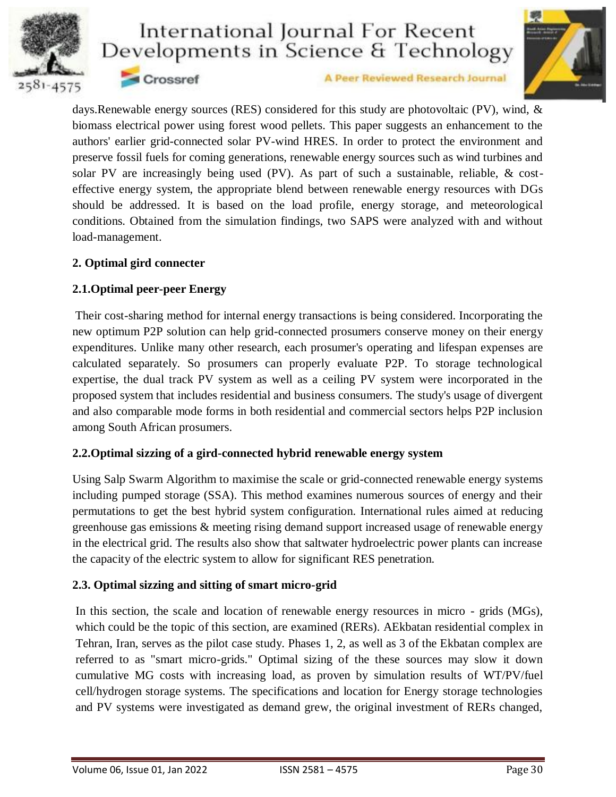



A Peer Reviewed Research Journal

days.Renewable energy sources (RES) considered for this study are photovoltaic (PV), wind, & biomass electrical power using forest wood pellets. This paper suggests an enhancement to the authors' earlier grid-connected solar PV-wind HRES. In order to protect the environment and preserve fossil fuels for coming generations, renewable energy sources such as wind turbines and solar PV are increasingly being used (PV). As part of such a sustainable, reliable, & costeffective energy system, the appropriate blend between renewable energy resources with DGs should be addressed. It is based on the load profile, energy storage, and meteorological conditions. Obtained from the simulation findings, two SAPS were analyzed with and without load-management.

#### **2. Optimal gird connecter**

### **2.1.Optimal peer-peer Energy**

Crossref

Their cost-sharing method for internal energy transactions is being considered. Incorporating the new optimum P2P solution can help grid-connected prosumers conserve money on their energy expenditures. Unlike many other research, each prosumer's operating and lifespan expenses are calculated separately. So prosumers can properly evaluate P2P. To storage technological expertise, the dual track PV system as well as a ceiling PV system were incorporated in the proposed system that includes residential and business consumers. The study's usage of divergent and also comparable mode forms in both residential and commercial sectors helps P2P inclusion among South African prosumers.

### **2.2.Optimal sizzing of a gird-connected hybrid renewable energy system**

Using Salp Swarm Algorithm to maximise the scale or grid-connected renewable energy systems including pumped storage (SSA). This method examines numerous sources of energy and their permutations to get the best hybrid system configuration. International rules aimed at reducing greenhouse gas emissions & meeting rising demand support increased usage of renewable energy in the electrical grid. The results also show that saltwater hydroelectric power plants can increase the capacity of the electric system to allow for significant RES penetration.

#### **2.3. Optimal sizzing and sitting of smart micro-grid**

In this section, the scale and location of renewable energy resources in micro - grids (MGs), which could be the topic of this section, are examined (RERs). AEkbatan residential complex in Tehran, Iran, serves as the pilot case study. Phases 1, 2, as well as 3 of the Ekbatan complex are referred to as "smart micro-grids." Optimal sizing of the these sources may slow it down cumulative MG costs with increasing load, as proven by simulation results of WT/PV/fuel cell/hydrogen storage systems. The specifications and location for Energy storage technologies and PV systems were investigated as demand grew, the original investment of RERs changed,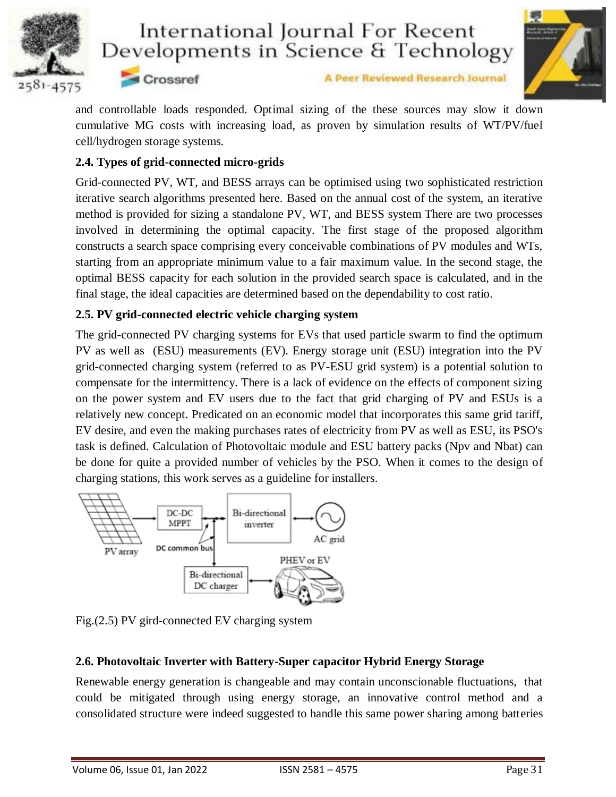



Crossref

A Peer Reviewed Research Journal

and controllable loads responded. Optimal sizing of the these sources may slow it down cumulative MG costs with increasing load, as proven by simulation results of WT/PV/fuel cell/hydrogen storage systems.

### **2.4. Types of grid-connected micro-grids**

Grid-connected PV, WT, and BESS arrays can be optimised using two sophisticated restriction iterative search algorithms presented here. Based on the annual cost of the system, an iterative method is provided for sizing a standalone PV, WT, and BESS system There are two processes involved in determining the optimal capacity. The first stage of the proposed algorithm constructs a search space comprising every conceivable combinations of PV modules and WTs, starting from an appropriate minimum value to a fair maximum value. In the second stage, the optimal BESS capacity for each solution in the provided search space is calculated, and in the final stage, the ideal capacities are determined based on the dependability to cost ratio.

### **2.5. PV grid-connected electric vehicle charging system**

The grid-connected PV charging systems for EVs that used particle swarm to find the optimum PV as well as (ESU) measurements (EV). Energy storage unit (ESU) integration into the PV grid-connected charging system (referred to as PV-ESU grid system) is a potential solution to compensate for the intermittency. There is a lack of evidence on the effects of component sizing on the power system and EV users due to the fact that grid charging of PV and ESUs is a relatively new concept. Predicated on an economic model that incorporates this same grid tariff, EV desire, and even the making purchases rates of electricity from PV as well as ESU, its PSO's task is defined. Calculation of Photovoltaic module and ESU battery packs (Npv and Nbat) can be done for quite a provided number of vehicles by the PSO. When it comes to the design of charging stations, this work serves as a guideline for installers.



Fig.(2.5) PV gird-connected EV charging system

## **2.6. Photovoltaic Inverter with Battery-Super capacitor Hybrid Energy Storage**

Renewable energy generation is changeable and may contain unconscionable fluctuations, that could be mitigated through using energy storage, an innovative control method and a consolidated structure were indeed suggested to handle this same power sharing among batteries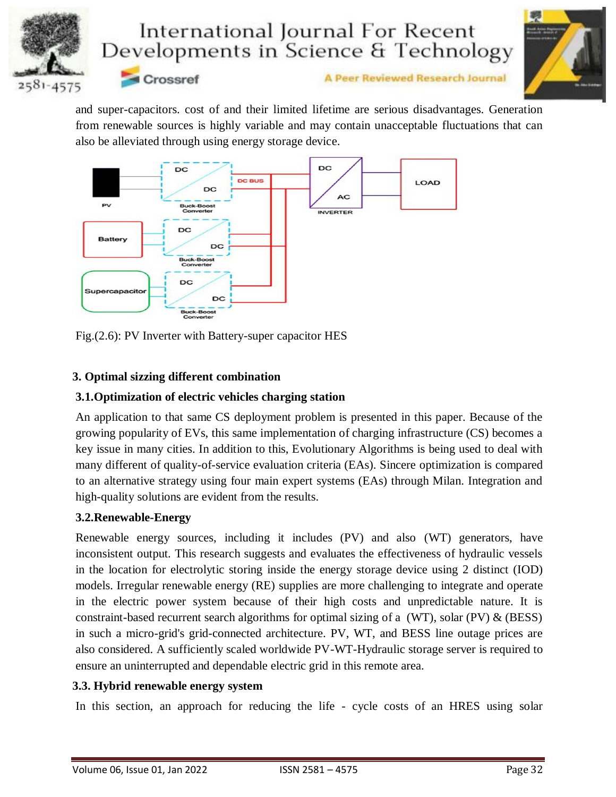



A Peer Reviewed Research Journal

and super-capacitors. cost of and their limited lifetime are serious disadvantages. Generation from renewable sources is highly variable and may contain unacceptable fluctuations that can also be alleviated through using energy storage device.



Fig.(2.6): PV Inverter with Battery-super capacitor HES

## **3. Optimal sizzing different combination**

### **3.1.Optimization of electric vehicles charging station**

An application to that same CS deployment problem is presented in this paper. Because of the growing popularity of EVs, this same implementation of charging infrastructure (CS) becomes a key issue in many cities. In addition to this, Evolutionary Algorithms is being used to deal with many different of quality-of-service evaluation criteria (EAs). Sincere optimization is compared to an alternative strategy using four main expert systems (EAs) through Milan. Integration and high-quality solutions are evident from the results.

### **3.2.Renewable-Energy**

Renewable energy sources, including it includes (PV) and also (WT) generators, have inconsistent output. This research suggests and evaluates the effectiveness of hydraulic vessels in the location for electrolytic storing inside the energy storage device using 2 distinct (IOD) models. Irregular renewable energy (RE) supplies are more challenging to integrate and operate in the electric power system because of their high costs and unpredictable nature. It is constraint-based recurrent search algorithms for optimal sizing of a (WT), solar (PV)  $\&$  (BESS) in such a micro-grid's grid-connected architecture. PV, WT, and BESS line outage prices are also considered. A sufficiently scaled worldwide PV-WT-Hydraulic storage server is required to ensure an uninterrupted and dependable electric grid in this remote area.

## **3.3. Hybrid renewable energy system**

In this section, an approach for reducing the life - cycle costs of an HRES using solar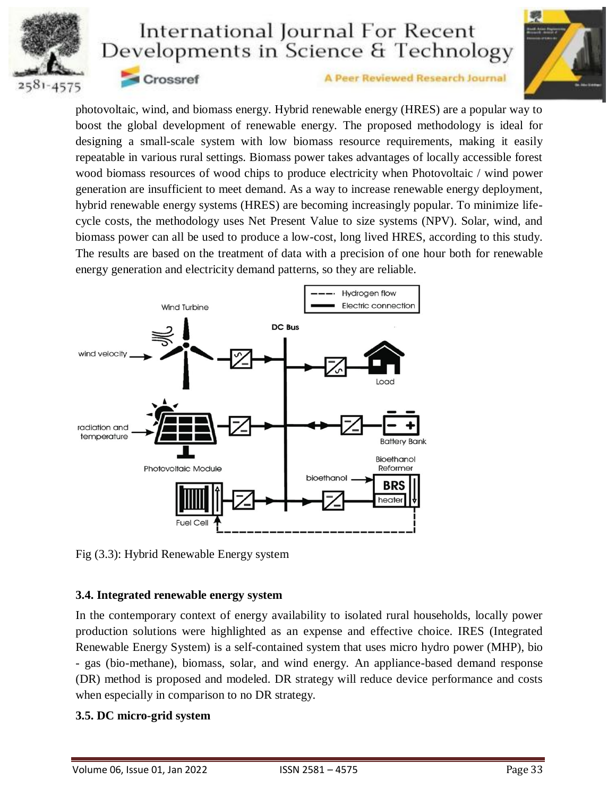



Crossref

#### A Peer Reviewed Research Journal

photovoltaic, wind, and biomass energy. Hybrid renewable energy (HRES) are a popular way to boost the global development of renewable energy. The proposed methodology is ideal for designing a small-scale system with low biomass resource requirements, making it easily repeatable in various rural settings. Biomass power takes advantages of locally accessible forest wood biomass resources of wood chips to produce electricity when Photovoltaic / wind power generation are insufficient to meet demand. As a way to increase renewable energy deployment, hybrid renewable energy systems (HRES) are becoming increasingly popular. To minimize lifecycle costs, the methodology uses Net Present Value to size systems (NPV). Solar, wind, and biomass power can all be used to produce a low-cost, long lived HRES, according to this study. The results are based on the treatment of data with a precision of one hour both for renewable energy generation and electricity demand patterns, so they are reliable.



Fig (3.3): Hybrid Renewable Energy system

#### **3.4. Integrated renewable energy system**

In the contemporary context of energy availability to isolated rural households, locally power production solutions were highlighted as an expense and effective choice. IRES (Integrated Renewable Energy System) is a self-contained system that uses micro hydro power (MHP), bio - gas (bio-methane), biomass, solar, and wind energy. An appliance-based demand response (DR) method is proposed and modeled. DR strategy will reduce device performance and costs when especially in comparison to no DR strategy.

### **3.5. DC micro-grid system**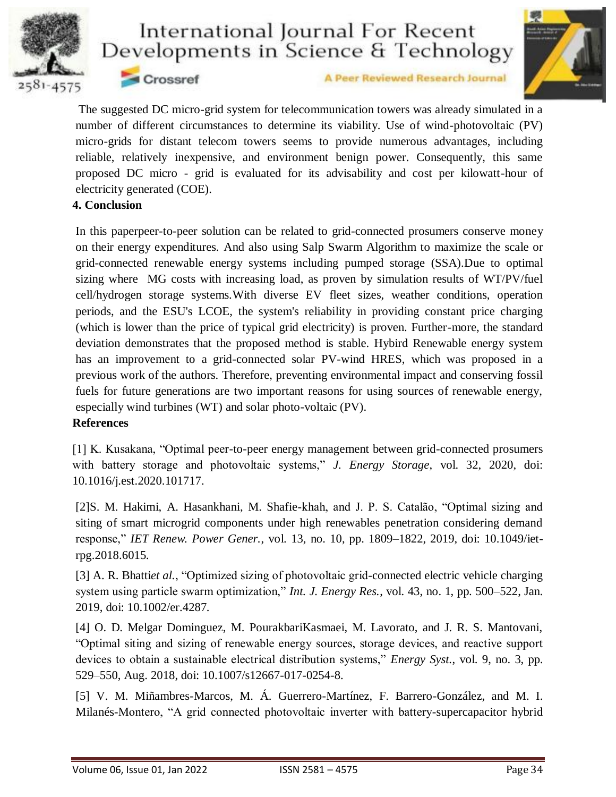



A Peer Reviewed Research Journal

The suggested DC micro-grid system for telecommunication towers was already simulated in a number of different circumstances to determine its viability. Use of wind-photovoltaic (PV) micro-grids for distant telecom towers seems to provide numerous advantages, including reliable, relatively inexpensive, and environment benign power. Consequently, this same proposed DC micro - grid is evaluated for its advisability and cost per kilowatt-hour of electricity generated (COE).

#### **4. Conclusion**

Crossref

In this paperpeer-to-peer solution can be related to grid-connected prosumers conserve money on their energy expenditures. And also using Salp Swarm Algorithm to maximize the scale or grid-connected renewable energy systems including pumped storage (SSA).Due to optimal sizing where MG costs with increasing load, as proven by simulation results of WT/PV/fuel cell/hydrogen storage systems.With diverse EV fleet sizes, weather conditions, operation periods, and the ESU's LCOE, the system's reliability in providing constant price charging (which is lower than the price of typical grid electricity) is proven. Further-more, the standard deviation demonstrates that the proposed method is stable. Hybird Renewable energy system has an improvement to a grid-connected solar PV-wind HRES, which was proposed in a previous work of the authors. Therefore, preventing environmental impact and conserving fossil fuels for future generations are two important reasons for using sources of renewable energy, especially wind turbines (WT) and solar photo-voltaic (PV).

### **References**

[1] K. Kusakana, "Optimal peer-to-peer energy management between grid-connected prosumers with battery storage and photovoltaic systems," *J. Energy Storage*, vol. 32, 2020, doi: 10.1016/j.est.2020.101717.

[2]S. M. Hakimi, A. Hasankhani, M. Shafie-khah, and J. P. S. Catalão, "Optimal sizing and siting of smart microgrid components under high renewables penetration considering demand response," *IET Renew. Power Gener.*, vol. 13, no. 10, pp. 1809–1822, 2019, doi: 10.1049/ietrpg.2018.6015.

[3] A. R. Bhatti*et al.*, "Optimized sizing of photovoltaic grid-connected electric vehicle charging system using particle swarm optimization," *Int. J. Energy Res.*, vol. 43, no. 1, pp. 500–522, Jan. 2019, doi: 10.1002/er.4287.

[4] O. D. Melgar Dominguez, M. PourakbariKasmaei, M. Lavorato, and J. R. S. Mantovani, "Optimal siting and sizing of renewable energy sources, storage devices, and reactive support devices to obtain a sustainable electrical distribution systems," *Energy Syst.*, vol. 9, no. 3, pp. 529–550, Aug. 2018, doi: 10.1007/s12667-017-0254-8.

[5] V. M. Miñambres-Marcos, M. Á. Guerrero-Martínez, F. Barrero-González, and M. I. Milanés-Montero, "A grid connected photovoltaic inverter with battery-supercapacitor hybrid